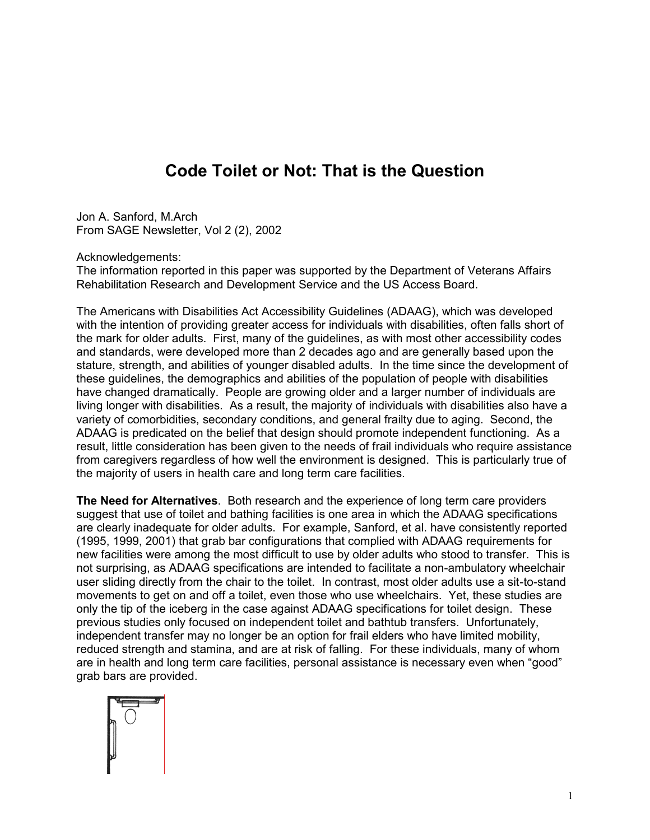## **Code Toilet or Not: That is the Question**

Jon A. Sanford, M.Arch From SAGE Newsletter, Vol 2 (2), 2002

Acknowledgements:

The information reported in this paper was supported by the Department of Veterans Affairs Rehabilitation Research and Development Service and the US Access Board.

The Americans with Disabilities Act Accessibility Guidelines (ADAAG), which was developed with the intention of providing greater access for individuals with disabilities, often falls short of the mark for older adults. First, many of the guidelines, as with most other accessibility codes and standards, were developed more than 2 decades ago and are generally based upon the stature, strength, and abilities of younger disabled adults. In the time since the development of these guidelines, the demographics and abilities of the population of people with disabilities have changed dramatically. People are growing older and a larger number of individuals are living longer with disabilities. As a result, the majority of individuals with disabilities also have a variety of comorbidities, secondary conditions, and general frailty due to aging. Second, the ADAAG is predicated on the belief that design should promote independent functioning. As a result, little consideration has been given to the needs of frail individuals who require assistance from caregivers regardless of how well the environment is designed. This is particularly true of the majority of users in health care and long term care facilities.

**The Need for Alternatives**. Both research and the experience of long term care providers suggest that use of toilet and bathing facilities is one area in which the ADAAG specifications are clearly inadequate for older adults. For example, Sanford, et al. have consistently reported (1995, 1999, 2001) that grab bar configurations that complied with ADAAG requirements for new facilities were among the most difficult to use by older adults who stood to transfer. This is not surprising, as ADAAG specifications are intended to facilitate a non-ambulatory wheelchair user sliding directly from the chair to the toilet. In contrast, most older adults use a sit-to-stand movements to get on and off a toilet, even those who use wheelchairs. Yet, these studies are only the tip of the iceberg in the case against ADAAG specifications for toilet design. These previous studies only focused on independent toilet and bathtub transfers. Unfortunately, independent transfer may no longer be an option for frail elders who have limited mobility, reduced strength and stamina, and are at risk of falling. For these individuals, many of whom are in health and long term care facilities, personal assistance is necessary even when "good" grab bars are provided.

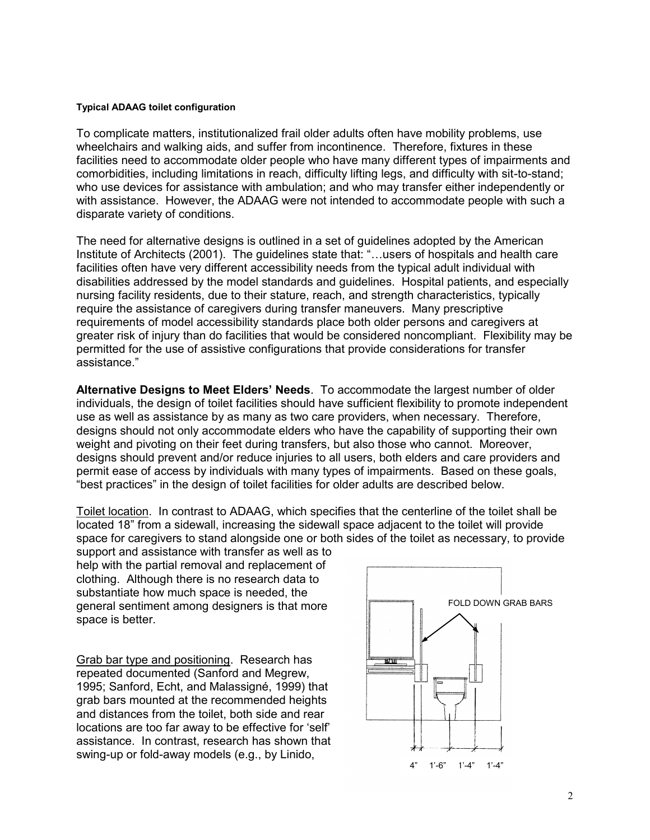## **Typical ADAAG toilet configuration**

To complicate matters, institutionalized frail older adults often have mobility problems, use wheelchairs and walking aids, and suffer from incontinence. Therefore, fixtures in these facilities need to accommodate older people who have many different types of impairments and comorbidities, including limitations in reach, difficulty lifting legs, and difficulty with sit-to-stand; who use devices for assistance with ambulation; and who may transfer either independently or with assistance. However, the ADAAG were not intended to accommodate people with such a disparate variety of conditions.

The need for alternative designs is outlined in a set of guidelines adopted by the American Institute of Architects (2001). The guidelines state that: "…users of hospitals and health care facilities often have very different accessibility needs from the typical adult individual with disabilities addressed by the model standards and guidelines. Hospital patients, and especially nursing facility residents, due to their stature, reach, and strength characteristics, typically require the assistance of caregivers during transfer maneuvers. Many prescriptive requirements of model accessibility standards place both older persons and caregivers at greater risk of injury than do facilities that would be considered noncompliant. Flexibility may be permitted for the use of assistive configurations that provide considerations for transfer assistance."

**Alternative Designs to Meet Elders' Needs**. To accommodate the largest number of older individuals, the design of toilet facilities should have sufficient flexibility to promote independent use as well as assistance by as many as two care providers, when necessary. Therefore, designs should not only accommodate elders who have the capability of supporting their own weight and pivoting on their feet during transfers, but also those who cannot. Moreover, designs should prevent and/or reduce injuries to all users, both elders and care providers and permit ease of access by individuals with many types of impairments. Based on these goals, "best practices" in the design of toilet facilities for older adults are described below.

Toilet location. In contrast to ADAAG, which specifies that the centerline of the toilet shall be located 18" from a sidewall, increasing the sidewall space adjacent to the toilet will provide space for caregivers to stand alongside one or both sides of the toilet as necessary, to provide

support and assistance with transfer as well as to help with the partial removal and replacement of clothing. Although there is no research data to substantiate how much space is needed, the general sentiment among designers is that more space is better.

Grab bar type and positioning. Research has repeated documented (Sanford and Megrew, 1995; Sanford, Echt, and Malassigné, 1999) that grab bars mounted at the recommended heights and distances from the toilet, both side and rear locations are too far away to be effective for 'self' assistance. In contrast, research has shown that swing-up or fold-away models (e.g., by Linido,

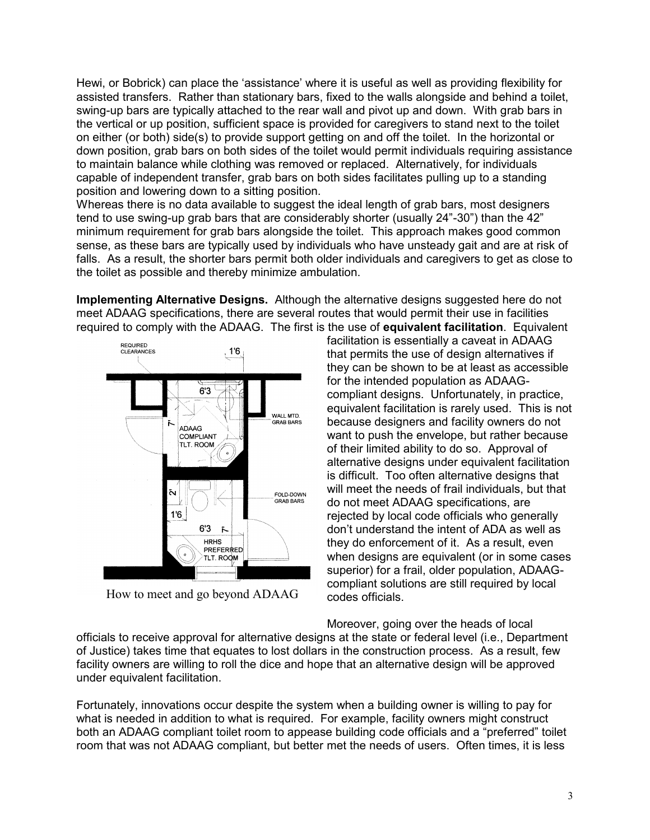Hewi, or Bobrick) can place the 'assistance' where it is useful as well as providing flexibility for assisted transfers. Rather than stationary bars, fixed to the walls alongside and behind a toilet, swing-up bars are typically attached to the rear wall and pivot up and down. With grab bars in the vertical or up position, sufficient space is provided for caregivers to stand next to the toilet on either (or both) side(s) to provide support getting on and off the toilet. In the horizontal or down position, grab bars on both sides of the toilet would permit individuals requiring assistance to maintain balance while clothing was removed or replaced. Alternatively, for individuals capable of independent transfer, grab bars on both sides facilitates pulling up to a standing position and lowering down to a sitting position.

Whereas there is no data available to suggest the ideal length of grab bars, most designers tend to use swing-up grab bars that are considerably shorter (usually 24"-30") than the 42" minimum requirement for grab bars alongside the toilet. This approach makes good common sense, as these bars are typically used by individuals who have unsteady gait and are at risk of falls. As a result, the shorter bars permit both older individuals and caregivers to get as close to the toilet as possible and thereby minimize ambulation.

**Implementing Alternative Designs.** Although the alternative designs suggested here do not meet ADAAG specifications, there are several routes that would permit their use in facilities required to comply with the ADAAG. The first is the use of **equivalent facilitation**. Equivalent



How to meet and go beyond ADAAG

facilitation is essentially a caveat in ADAAG that permits the use of design alternatives if they can be shown to be at least as accessible for the intended population as ADAAGcompliant designs. Unfortunately, in practice, equivalent facilitation is rarely used. This is not because designers and facility owners do not want to push the envelope, but rather because of their limited ability to do so. Approval of alternative designs under equivalent facilitation is difficult. Too often alternative designs that will meet the needs of frail individuals, but that do not meet ADAAG specifications, are rejected by local code officials who generally don't understand the intent of ADA as well as they do enforcement of it. As a result, even when designs are equivalent (or in some cases superior) for a frail, older population, ADAAGcompliant solutions are still required by local codes officials.

Moreover, going over the heads of local

officials to receive approval for alternative designs at the state or federal level (i.e., Department of Justice) takes time that equates to lost dollars in the construction process. As a result, few facility owners are willing to roll the dice and hope that an alternative design will be approved under equivalent facilitation.

Fortunately, innovations occur despite the system when a building owner is willing to pay for what is needed in addition to what is required. For example, facility owners might construct both an ADAAG compliant toilet room to appease building code officials and a "preferred" toilet room that was not ADAAG compliant, but better met the needs of users. Often times, it is less